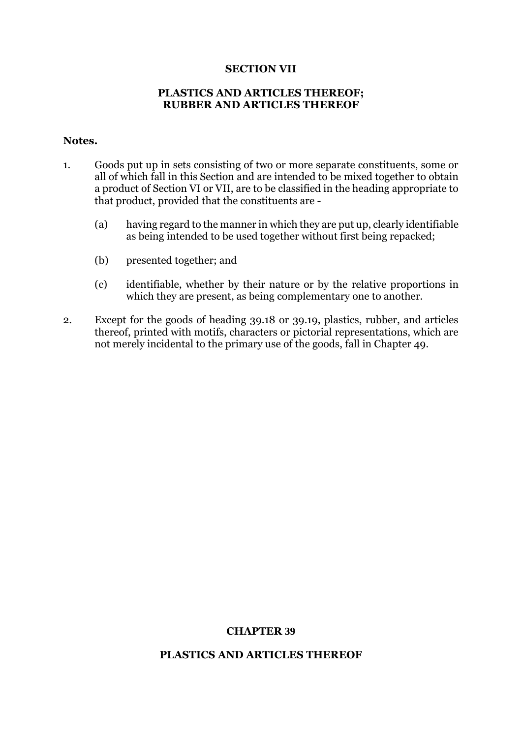### **SECTION VII**

## **PLASTICS AND ARTICLES THEREOF; RUBBER AND ARTICLES THEREOF**

### **Notes.**

- 1. Goods put up in sets consisting of two or more separate constituents, some or all of which fall in this Section and are intended to be mixed together to obtain a product of Section VI or VII, are to be classified in the heading appropriate to that product, provided that the constituents are -
	- (a) having regard to the manner in which they are put up, clearly identifiable as being intended to be used together without first being repacked;
	- (b) presented together; and
	- (c) identifiable, whether by their nature or by the relative proportions in which they are present, as being complementary one to another.
- 2. Except for the goods of heading 39.18 or 39.19, plastics, rubber, and articles thereof, printed with motifs, characters or pictorial representations, which are not merely incidental to the primary use of the goods, fall in Chapter 49.

# **CHAPTER 39**

#### **PLASTICS AND ARTICLES THEREOF**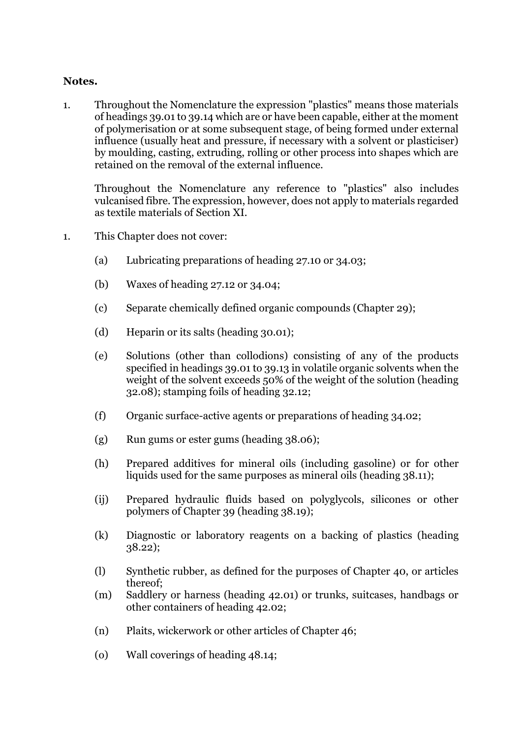## **Notes.**

1. Throughout the Nomenclature the expression "plastics" means those materials of headings 39.01 to 39.14 which are or have been capable, either at the moment of polymerisation or at some subsequent stage, of being formed under external influence (usually heat and pressure, if necessary with a solvent or plasticiser) by moulding, casting, extruding, rolling or other process into shapes which are retained on the removal of the external influence.

Throughout the Nomenclature any reference to "plastics" also includes vulcanised fibre. The expression, however, does not apply to materials regarded as textile materials of Section XI.

- 1. This Chapter does not cover:
	- (a) Lubricating preparations of heading 27.10 or 34.03;
	- (b) Waxes of heading 27.12 or 34.04;
	- (c) Separate chemically defined organic compounds (Chapter 29);
	- (d) Heparin or its salts (heading 30.01);
	- (e) Solutions (other than collodions) consisting of any of the products specified in headings 39.01 to 39.13 in volatile organic solvents when the weight of the solvent exceeds 50% of the weight of the solution (heading 32.08); stamping foils of heading 32.12;
	- (f) Organic surface-active agents or preparations of heading 34.02;
	- (g) Run gums or ester gums (heading 38.06);
	- (h) Prepared additives for mineral oils (including gasoline) or for other liquids used for the same purposes as mineral oils (heading 38.11);
	- (ij) Prepared hydraulic fluids based on polyglycols, silicones or other polymers of Chapter 39 (heading 38.19);
	- (k) Diagnostic or laboratory reagents on a backing of plastics (heading 38.22);
	- (l) Synthetic rubber, as defined for the purposes of Chapter 40, or articles thereof;
	- (m) Saddlery or harness (heading 42.01) or trunks, suitcases, handbags or other containers of heading 42.02;
	- (n) Plaits, wickerwork or other articles of Chapter 46;
	- (o) Wall coverings of heading 48.14;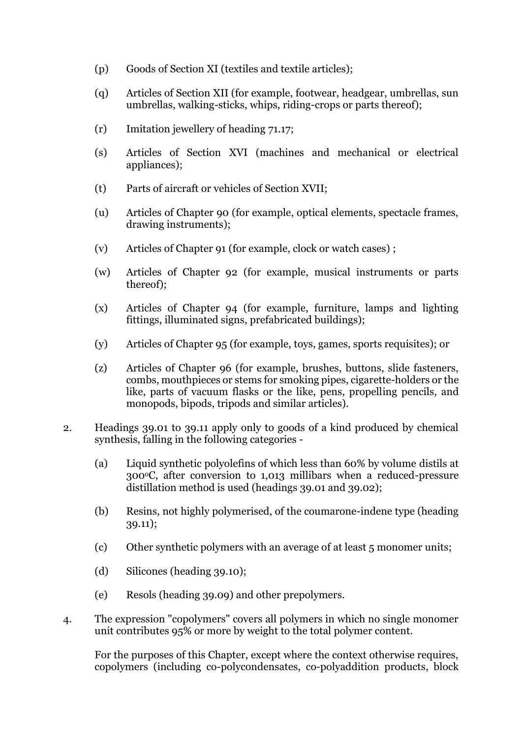- (p) Goods of Section XI (textiles and textile articles);
- (q) Articles of Section XII (for example, footwear, headgear, umbrellas, sun umbrellas, walking-sticks, whips, riding-crops or parts thereof);
- (r) Imitation jewellery of heading 71.17;
- (s) Articles of Section XVI (machines and mechanical or electrical appliances);
- (t) Parts of aircraft or vehicles of Section XVII;
- (u) Articles of Chapter 90 (for example, optical elements, spectacle frames, drawing instruments);
- (v) Articles of Chapter 91 (for example, clock or watch cases) ;
- (w) Articles of Chapter 92 (for example, musical instruments or parts thereof);
- (x) Articles of Chapter 94 (for example, furniture, lamps and lighting fittings, illuminated signs, prefabricated buildings);
- (y) Articles of Chapter 95 (for example, toys, games, sports requisites); or
- (z) Articles of Chapter 96 (for example, brushes, buttons, slide fasteners, combs, mouthpieces or stems for smoking pipes, cigarette-holders or the like, parts of vacuum flasks or the like, pens, propelling pencils, and monopods, bipods, tripods and similar articles).
- 2. Headings 39.01 to 39.11 apply only to goods of a kind produced by chemical synthesis, falling in the following categories -
	- (a) Liquid synthetic polyolefins of which less than 60% by volume distils at 300oC, after conversion to 1,013 millibars when a reduced-pressure distillation method is used (headings 39.01 and 39.02);
	- (b) Resins, not highly polymerised, of the coumarone-indene type (heading 39.11);
	- (c) Other synthetic polymers with an average of at least 5 monomer units;
	- (d) Silicones (heading 39.10);
	- (e) Resols (heading 39.09) and other prepolymers.
- 4. The expression "copolymers" covers all polymers in which no single monomer unit contributes 95% or more by weight to the total polymer content.

For the purposes of this Chapter, except where the context otherwise requires, copolymers (including co-polycondensates, co-polyaddition products, block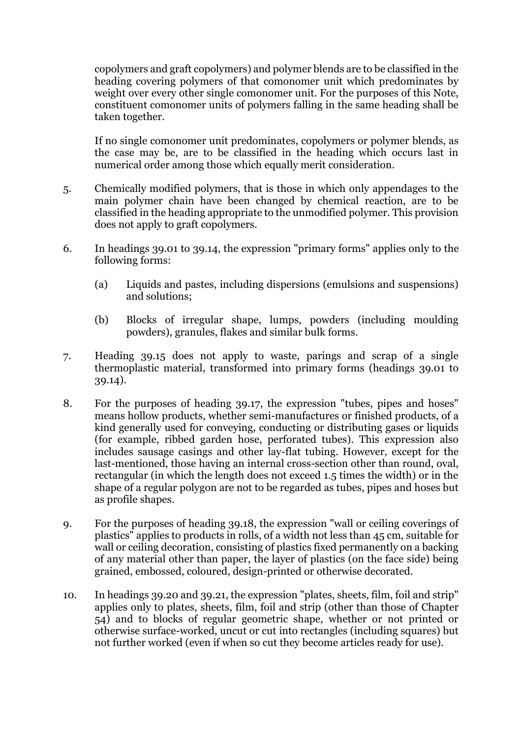copolymers and graft copolymers) and polymer blends are to be classified in the heading covering polymers of that comonomer unit which predominates by weight over every other single comonomer unit. For the purposes of this Note, constituent comonomer units of polymers falling in the same heading shall be taken together.

If no single comonomer unit predominates, copolymers or polymer blends, as the case may be, are to be classified in the heading which occurs last in numerical order among those which equally merit consideration.

- 5. Chemically modified polymers, that is those in which only appendages to the main polymer chain have been changed by chemical reaction, are to be classified in the heading appropriate to the unmodified polymer. This provision does not apply to graft copolymers.
- 6. In headings 39.01 to 39.14, the expression "primary forms" applies only to the following forms:
	- (a) Liquids and pastes, including dispersions (emulsions and suspensions) and solutions;
	- (b) Blocks of irregular shape, lumps, powders (including moulding powders), granules, flakes and similar bulk forms.
- 7. Heading 39.15 does not apply to waste, parings and scrap of a single thermoplastic material, transformed into primary forms (headings 39.01 to 39.14).
- 8. For the purposes of heading 39.17, the expression "tubes, pipes and hoses" means hollow products, whether semi-manufactures or finished products, of a kind generally used for conveying, conducting or distributing gases or liquids (for example, ribbed garden hose, perforated tubes). This expression also includes sausage casings and other lay-flat tubing. However, except for the last-mentioned, those having an internal cross-section other than round, oval, rectangular (in which the length does not exceed 1.5 times the width) or in the shape of a regular polygon are not to be regarded as tubes, pipes and hoses but as profile shapes.
- 9. For the purposes of heading 39.18, the expression "wall or ceiling coverings of plastics" applies to products in rolls, of a width not less than 45 cm, suitable for wall or ceiling decoration, consisting of plastics fixed permanently on a backing of any material other than paper, the layer of plastics (on the face side) being grained, embossed, coloured, design-printed or otherwise decorated.
- 10. In headings 39.20 and 39.21, the expression "plates, sheets, film, foil and strip" applies only to plates, sheets, film, foil and strip (other than those of Chapter 54) and to blocks of regular geometric shape, whether or not printed or otherwise surface-worked, uncut or cut into rectangles (including squares) but not further worked (even if when so cut they become articles ready for use).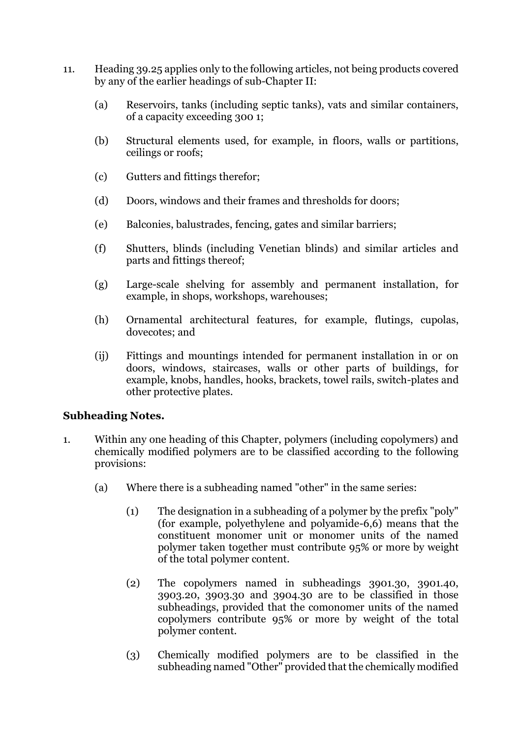- 11. Heading 39.25 applies only to the following articles, not being products covered by any of the earlier headings of sub-Chapter II:
	- (a) Reservoirs, tanks (including septic tanks), vats and similar containers, of a capacity exceeding 300 1;
	- (b) Structural elements used, for example, in floors, walls or partitions, ceilings or roofs;
	- (c) Gutters and fittings therefor;
	- (d) Doors, windows and their frames and thresholds for doors;
	- (e) Balconies, balustrades, fencing, gates and similar barriers;
	- (f) Shutters, blinds (including Venetian blinds) and similar articles and parts and fittings thereof;
	- (g) Large-scale shelving for assembly and permanent installation, for example, in shops, workshops, warehouses;
	- (h) Ornamental architectural features, for example, flutings, cupolas, dovecotes; and
	- (ij) Fittings and mountings intended for permanent installation in or on doors, windows, staircases, walls or other parts of buildings, for example, knobs, handles, hooks, brackets, towel rails, switch-plates and other protective plates.

# **Subheading Notes.**

- 1. Within any one heading of this Chapter, polymers (including copolymers) and chemically modified polymers are to be classified according to the following provisions:
	- (a) Where there is a subheading named "other" in the same series:
		- (1) The designation in a subheading of a polymer by the prefix "poly" (for example, polyethylene and polyamide-6,6) means that the constituent monomer unit or monomer units of the named polymer taken together must contribute 95% or more by weight of the total polymer content.
		- (2) The copolymers named in subheadings 3901.30, 3901.40, 3903.20, 3903.30 and 3904.30 are to be classified in those subheadings, provided that the comonomer units of the named copolymers contribute 95% or more by weight of the total polymer content.
		- (3) Chemically modified polymers are to be classified in the subheading named "Other" provided that the chemically modified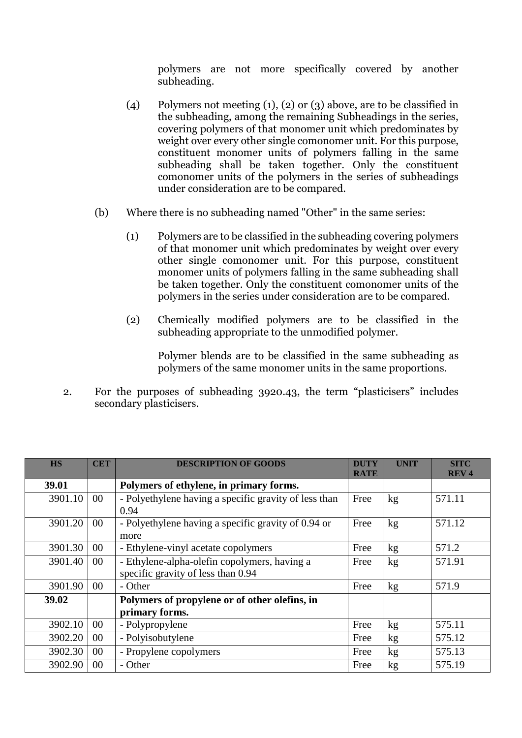polymers are not more specifically covered by another subheading.

- (4) Polymers not meeting (1), (2) or (3) above, are to be classified in the subheading, among the remaining Subheadings in the series, covering polymers of that monomer unit which predominates by weight over every other single comonomer unit. For this purpose, constituent monomer units of polymers falling in the same subheading shall be taken together. Only the constituent comonomer units of the polymers in the series of subheadings under consideration are to be compared.
- (b) Where there is no subheading named "Other" in the same series:
	- (1) Polymers are to be classified in the subheading covering polymers of that monomer unit which predominates by weight over every other single comonomer unit. For this purpose, constituent monomer units of polymers falling in the same subheading shall be taken together. Only the constituent comonomer units of the polymers in the series under consideration are to be compared.
	- (2) Chemically modified polymers are to be classified in the subheading appropriate to the unmodified polymer.

Polymer blends are to be classified in the same subheading as polymers of the same monomer units in the same proportions.

2. For the purposes of subheading 3920.43, the term "plasticisers" includes secondary plasticisers.

| <b>HS</b> | <b>CET</b> | <b>DESCRIPTION OF GOODS</b>                           | <b>DUTY</b> | <b>UNIT</b> | <b>SITC</b> |
|-----------|------------|-------------------------------------------------------|-------------|-------------|-------------|
|           |            |                                                       | <b>RATE</b> |             | <b>REV4</b> |
| 39.01     |            | Polymers of ethylene, in primary forms.               |             |             |             |
| 3901.10   | $00\,$     | - Polyethylene having a specific gravity of less than | Free        | kg          | 571.11      |
|           |            | 0.94                                                  |             |             |             |
| 3901.20   | $00\,$     | - Polyethylene having a specific gravity of 0.94 or   | Free        | kg          | 571.12      |
|           |            | more                                                  |             |             |             |
| 3901.30   | 00         | - Ethylene-vinyl acetate copolymers                   | Free        | kg          | 571.2       |
| 3901.40   | $00\,$     | - Ethylene-alpha-olefin copolymers, having a          | Free        | kg          | 571.91      |
|           |            | specific gravity of less than 0.94                    |             |             |             |
| 3901.90   | $00\,$     | - Other                                               | Free        | kg          | 571.9       |
| 39.02     |            | Polymers of propylene or of other olefins, in         |             |             |             |
|           |            | primary forms.                                        |             |             |             |
| 3902.10   | 00         | - Polypropylene                                       | Free        | kg          | 575.11      |
| 3902.20   | $00\,$     | - Polyisobutylene                                     | Free        | kg          | 575.12      |
| 3902.30   | $00\,$     | - Propylene copolymers                                | Free        | kg          | 575.13      |
| 3902.90   | 00         | - Other                                               | Free        | kg          | 575.19      |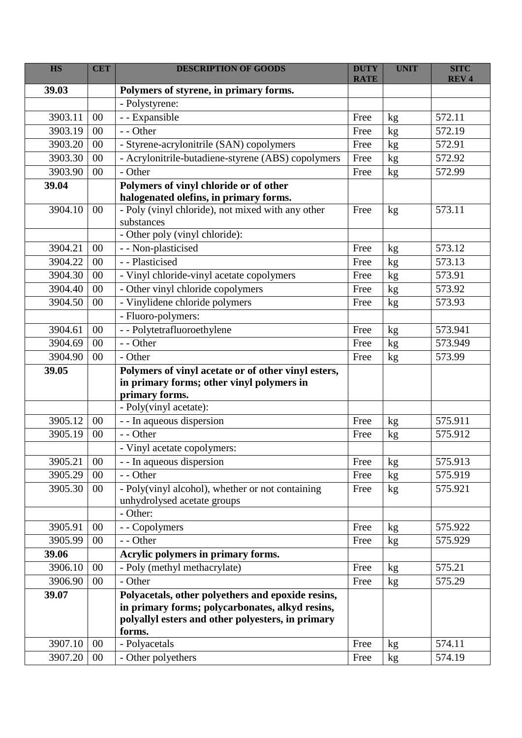| <b>HS</b> | <b>CET</b> | <b>DESCRIPTION OF GOODS</b>                         | <b>DUTY</b> | <b>UNIT</b> | <b>SITC</b> |
|-----------|------------|-----------------------------------------------------|-------------|-------------|-------------|
| 39.03     |            |                                                     | <b>RATE</b> |             | <b>REV4</b> |
|           |            | Polymers of styrene, in primary forms.              |             |             |             |
|           |            | - Polystyrene:                                      |             |             |             |
| 3903.11   | 00         | - - Expansible                                      | Free        | kg          | 572.11      |
| 3903.19   | 00         | - - Other                                           | Free        | kg          | 572.19      |
| 3903.20   | $00\,$     | - Styrene-acrylonitrile (SAN) copolymers            | Free        | kg          | 572.91      |
| 3903.30   | $00\,$     | - Acrylonitrile-butadiene-styrene (ABS) copolymers  | Free        | kg          | 572.92      |
| 3903.90   | 00         | - Other                                             | Free        | kg          | 572.99      |
| 39.04     |            | Polymers of vinyl chloride or of other              |             |             |             |
|           |            | halogenated olefins, in primary forms.              |             |             |             |
| 3904.10   | 00         | - Poly (vinyl chloride), not mixed with any other   | Free        | kg          | 573.11      |
|           |            | substances                                          |             |             |             |
|           |            | - Other poly (vinyl chloride):                      |             |             |             |
| 3904.21   | 00         | - - Non-plasticised                                 | Free        | kg          | 573.12      |
| 3904.22   | $00\,$     | - - Plasticised                                     | Free        | kg          | 573.13      |
| 3904.30   | $00\,$     | - Vinyl chloride-vinyl acetate copolymers           | Free        | kg          | 573.91      |
| 3904.40   | $00\,$     | - Other vinyl chloride copolymers                   | Free        | kg          | 573.92      |
| 3904.50   | 00         | - Vinylidene chloride polymers                      | Free        | kg          | 573.93      |
|           |            | - Fluoro-polymers:                                  |             |             |             |
| 3904.61   | 00         | - - Polytetrafluoroethylene                         | Free        | kg          | 573.941     |
| 3904.69   | $00\,$     | - - Other                                           | Free        | kg          | 573.949     |
| 3904.90   | 00         | - Other                                             | Free        | kg          | 573.99      |
| 39.05     |            | Polymers of vinyl acetate or of other vinyl esters, |             |             |             |
|           |            | in primary forms; other vinyl polymers in           |             |             |             |
|           |            | primary forms.                                      |             |             |             |
|           |            | - Poly(vinyl acetate):                              |             |             |             |
| 3905.12   | 00         | - - In aqueous dispersion                           | Free        | kg          | 575.911     |
| 3905.19   | 00         | - - Other                                           | Free        | kg          | 575.912     |
|           |            | - Vinyl acetate copolymers:                         |             |             |             |
| 3905.21   | 00         | - - In aqueous dispersion                           | Free        | kg          | 575.913     |
| 3905.29   | 00         | - - Other                                           | Free        | kg          | 575.919     |
| 3905.30   | 00         | - Poly(vinyl alcohol), whether or not containing    | Free        | kg          | 575.921     |
|           |            | unhydrolysed acetate groups                         |             |             |             |
|           |            | - Other:                                            |             |             |             |
| 3905.91   | 00         | - - Copolymers                                      | Free        | kg          | 575.922     |
| 3905.99   | 00         | - - Other                                           | Free        | kg          | 575.929     |
| 39.06     |            | Acrylic polymers in primary forms.                  |             |             |             |
| 3906.10   | 00         | - Poly (methyl methacrylate)                        | Free        | kg          | 575.21      |
| 3906.90   | 00         | - Other                                             | Free        | kg          | 575.29      |
| 39.07     |            | Polyacetals, other polyethers and epoxide resins,   |             |             |             |
|           |            | in primary forms; polycarbonates, alkyd resins,     |             |             |             |
|           |            | polyallyl esters and other polyesters, in primary   |             |             |             |
|           |            | forms.                                              |             |             |             |
| 3907.10   | 00         | - Polyacetals                                       | Free        | kg          | 574.11      |
| 3907.20   | $00\,$     | - Other polyethers                                  | Free        | kg          | 574.19      |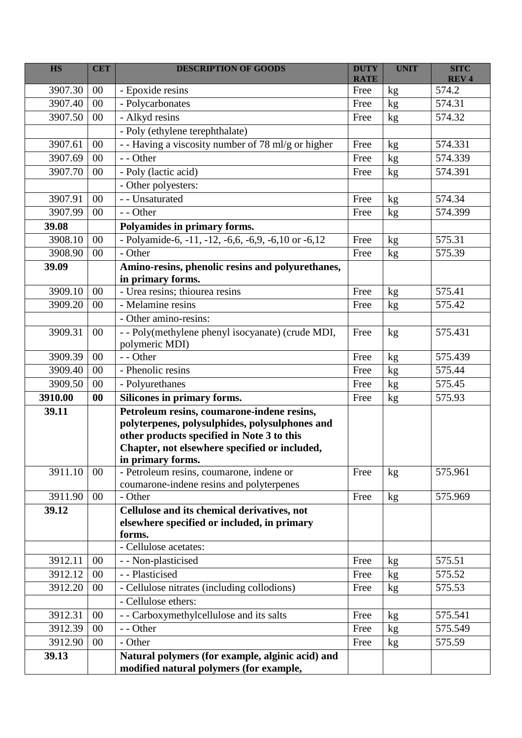| <b>HS</b> | <b>CET</b> | <b>DESCRIPTION OF GOODS</b>                                   | <b>DUTY</b><br><b>RATE</b> | <b>UNIT</b>   | <b>SITC</b><br><b>REV4</b> |
|-----------|------------|---------------------------------------------------------------|----------------------------|---------------|----------------------------|
| 3907.30   | 00         | - Epoxide resins                                              | Free                       | $\mathbf{kg}$ | 574.2                      |
| 3907.40   | 00         | - Polycarbonates                                              | Free                       | kg            | 574.31                     |
| 3907.50   | 00         | - Alkyd resins                                                | Free                       |               | 574.32                     |
|           |            | - Poly (ethylene terephthalate)                               |                            | kg            |                            |
| 3907.61   | 00         | - - Having a viscosity number of 78 ml/g or higher            | Free                       | kg            | 574.331                    |
| 3907.69   | 00         | - - Other                                                     | Free                       | kg            | 574.339                    |
| 3907.70   | 00         | - Poly (lactic acid)                                          | Free                       | kg            | 574.391                    |
|           |            | - Other polyesters:                                           |                            |               |                            |
| 3907.91   | 00         | - - Unsaturated                                               | Free                       |               | 574.34                     |
| 3907.99   | 00         | - - Other                                                     | Free                       | kg<br>kg      | 574.399                    |
| 39.08     |            | Polyamides in primary forms.                                  |                            |               |                            |
| 3908.10   | 00         | - Polyamide-6, -11, -12, -6,6, -6,9, -6,10 or -6,12           | Free                       | kg            | 575.31                     |
| 3908.90   | 00         | - Other                                                       | Free                       |               | 575.39                     |
| 39.09     |            | Amino-resins, phenolic resins and polyurethanes,              |                            | kg            |                            |
|           |            | in primary forms.                                             |                            |               |                            |
| 3909.10   | 00         | - Urea resins; thiourea resins                                | Free                       | kg            | 575.41                     |
| 3909.20   | 00         | - Melamine resins                                             | Free                       | kg            | 575.42                     |
|           |            | - Other amino-resins:                                         |                            |               |                            |
| 3909.31   | 00         | - - Poly(methylene phenyl isocyanate) (crude MDI,             | Free                       | kg            | 575.431                    |
|           |            | polymeric MDI)                                                |                            |               |                            |
| 3909.39   | 00         | - - Other                                                     | Free                       | kg            | 575.439                    |
| 3909.40   | 00         | - Phenolic resins                                             | Free                       | kg            | 575.44                     |
| 3909.50   | $00\,$     | - Polyurethanes                                               | Free                       | kg            | 575.45                     |
| 3910.00   | $\bf{00}$  | Silicones in primary forms.                                   | Free                       | kg            | 575.93                     |
| 39.11     |            | Petroleum resins, coumarone-indene resins,                    |                            |               |                            |
|           |            | polyterpenes, polysulphides, polysulphones and                |                            |               |                            |
|           |            | other products specified in Note 3 to this                    |                            |               |                            |
|           |            | Chapter, not elsewhere specified or included,                 |                            |               |                            |
|           | 00         | in primary forms.<br>- Petroleum resins, coumarone, indene or |                            |               | 575.961                    |
| 3911.10   |            | coumarone-indene resins and polyterpenes                      | Free                       | kg            |                            |
| 3911.90   | 00         | - Other                                                       | Free                       | kg            | 575.969                    |
| 39.12     |            | Cellulose and its chemical derivatives, not                   |                            |               |                            |
|           |            | elsewhere specified or included, in primary                   |                            |               |                            |
|           |            | forms.                                                        |                            |               |                            |
|           |            | - Cellulose acetates:                                         |                            |               |                            |
| 3912.11   | 00         | - - Non-plasticised                                           | Free                       | kg            | 575.51                     |
| 3912.12   | 00         | - - Plasticised                                               | Free                       | kg            | 575.52                     |
| 3912.20   | 00         | - Cellulose nitrates (including collodions)                   | Free                       | kg            | 575.53                     |
|           |            | - Cellulose ethers:                                           |                            |               |                            |
| 3912.31   | 00         | - - Carboxymethylcellulose and its salts                      | Free                       | kg            | 575.541                    |
| 3912.39   | 00         | - - Other                                                     | Free                       | kg            | 575.549                    |
| 3912.90   | 00         | - Other                                                       | Free                       | kg            | 575.59                     |
| 39.13     |            | Natural polymers (for example, alginic acid) and              |                            |               |                            |
|           |            | modified natural polymers (for example,                       |                            |               |                            |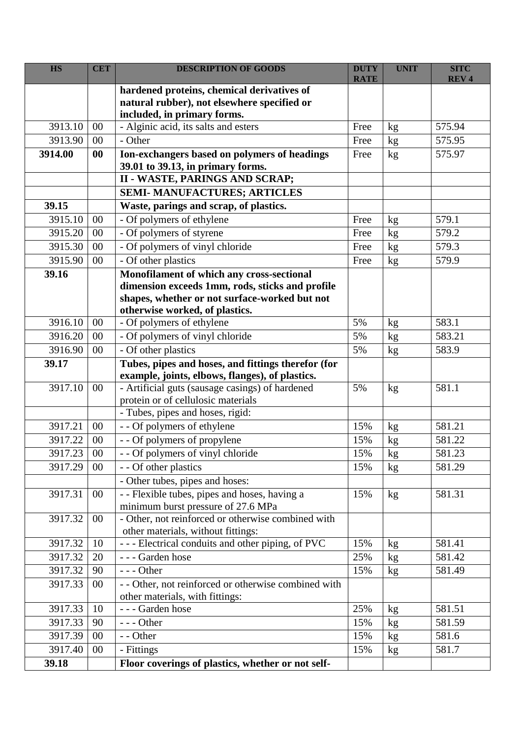| <b>HS</b> | <b>CET</b> | <b>DESCRIPTION OF GOODS</b>                                                                        | <b>DUTY</b> | <b>UNIT</b> | <b>SITC</b> |
|-----------|------------|----------------------------------------------------------------------------------------------------|-------------|-------------|-------------|
|           |            | hardened proteins, chemical derivatives of                                                         | <b>RATE</b> |             | <b>REV4</b> |
|           |            | natural rubber), not elsewhere specified or                                                        |             |             |             |
|           |            | included, in primary forms.                                                                        |             |             |             |
| 3913.10   | 00         | - Alginic acid, its salts and esters                                                               | Free        | kg          | 575.94      |
| 3913.90   | 00         | - Other                                                                                            | Free        | kg          | 575.95      |
| 3914.00   | $\bf{00}$  | Ion-exchangers based on polymers of headings                                                       | Free        | kg          | 575.97      |
|           |            | 39.01 to 39.13, in primary forms.                                                                  |             |             |             |
|           |            | <b>II - WASTE, PARINGS AND SCRAP;</b>                                                              |             |             |             |
|           |            | <b>SEMI- MANUFACTURES; ARTICLES</b>                                                                |             |             |             |
| 39.15     |            | Waste, parings and scrap, of plastics.                                                             |             |             |             |
| 3915.10   | $00\,$     | - Of polymers of ethylene                                                                          | Free        | kg          | 579.1       |
| 3915.20   | 00         | - Of polymers of styrene                                                                           | Free        | kg          | 579.2       |
| 3915.30   | $00\,$     | - Of polymers of vinyl chloride                                                                    | Free        | kg          | 579.3       |
| 3915.90   | 00         | - Of other plastics                                                                                | Free        | kg          | 579.9       |
| 39.16     |            | Monofilament of which any cross-sectional                                                          |             |             |             |
|           |            | dimension exceeds 1mm, rods, sticks and profile                                                    |             |             |             |
|           |            | shapes, whether or not surface-worked but not                                                      |             |             |             |
|           |            | otherwise worked, of plastics.                                                                     |             |             |             |
| 3916.10   | 00         | - Of polymers of ethylene                                                                          | 5%          | kg          | 583.1       |
| 3916.20   | 00         | - Of polymers of vinyl chloride                                                                    | 5%          | kg          | 583.21      |
| 3916.90   | 00         | - Of other plastics                                                                                | 5%          | kg          | 583.9       |
| 39.17     |            | Tubes, pipes and hoses, and fittings therefor (for                                                 |             |             |             |
| 3917.10   | 00         | example, joints, elbows, flanges), of plastics.<br>- Artificial guts (sausage casings) of hardened | 5%          | kg          | 581.1       |
|           |            | protein or of cellulosic materials                                                                 |             |             |             |
|           |            | - Tubes, pipes and hoses, rigid:                                                                   |             |             |             |
| 3917.21   | 00         | - - Of polymers of ethylene                                                                        | 15%         | kg          | 581.21      |
| 3917.22   | $00\,$     | - - Of polymers of propylene                                                                       | 15%         | kg          | 581.22      |
| 3917.23   | $00\,$     | - - Of polymers of vinyl chloride                                                                  | 15%         | kg          | 581.23      |
| 3917.29   | $00\,$     | - - Of other plastics                                                                              | 15%         | kg          | 581.29      |
|           |            | - Other tubes, pipes and hoses:                                                                    |             |             |             |
| 3917.31   | $00\,$     | -- Flexible tubes, pipes and hoses, having a                                                       | 15%         | kg          | 581.31      |
|           |            | minimum burst pressure of 27.6 MPa                                                                 |             |             |             |
| 3917.32   | $00\,$     | - Other, not reinforced or otherwise combined with                                                 |             |             |             |
|           |            | other materials, without fittings:                                                                 |             |             |             |
| 3917.32   | 10         | - - - Electrical conduits and other piping, of PVC                                                 | 15%         | kg          | 581.41      |
| 3917.32   | 20         | --- Garden hose                                                                                    | 25%         | kg          | 581.42      |
| 3917.32   | 90         | $--$ Other                                                                                         | 15%         | kg          | 581.49      |
| 3917.33   | $00\,$     | - - Other, not reinforced or otherwise combined with                                               |             |             |             |
|           |            | other materials, with fittings:                                                                    |             |             |             |
| 3917.33   | 10         | --- Garden hose                                                                                    | 25%         | kg          | 581.51      |
| 3917.33   | 90         | $--$ Other                                                                                         | 15%         | kg          | 581.59      |
| 3917.39   | $00\,$     | - - Other                                                                                          | 15%         | kg          | 581.6       |
| 3917.40   | $00\,$     | - Fittings                                                                                         | 15%         | kg          | 581.7       |
| 39.18     |            | Floor coverings of plastics, whether or not self-                                                  |             |             |             |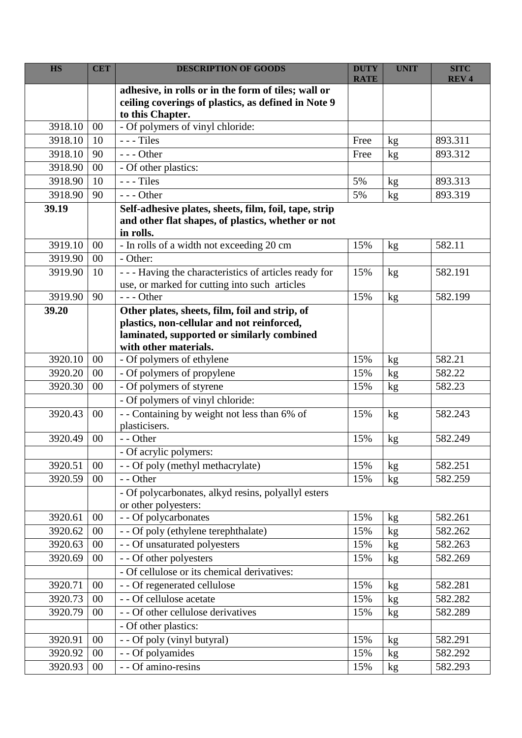| <b>HS</b> | <b>CET</b> | <b>DESCRIPTION OF GOODS</b>                                                              | <b>DUTY</b> | <b>UNIT</b> | <b>SITC</b> |
|-----------|------------|------------------------------------------------------------------------------------------|-------------|-------------|-------------|
|           |            | adhesive, in rolls or in the form of tiles; wall or                                      | <b>RATE</b> |             | <b>REV4</b> |
|           |            | ceiling coverings of plastics, as defined in Note 9                                      |             |             |             |
|           |            | to this Chapter.                                                                         |             |             |             |
| 3918.10   | 00         | - Of polymers of vinyl chloride:                                                         |             |             |             |
| 3918.10   | 10         | $--$ Tiles                                                                               | Free        | kg          | 893.311     |
| 3918.10   | 90         | $--$ Other                                                                               | Free        | kg          | 893.312     |
| 3918.90   | $00\,$     | - Of other plastics:                                                                     |             |             |             |
| 3918.90   | 10         | $--$ Tiles                                                                               | 5%          | kg          | 893.313     |
| 3918.90   | 90         | $--$ Other                                                                               | 5%          | kg          | 893.319     |
| 39.19     |            | Self-adhesive plates, sheets, film, foil, tape, strip                                    |             |             |             |
|           |            | and other flat shapes, of plastics, whether or not                                       |             |             |             |
|           |            | in rolls.                                                                                |             |             |             |
| 3919.10   | 00         | - In rolls of a width not exceeding 20 cm                                                | 15%         | kg          | 582.11      |
| 3919.90   | 00         | - Other:                                                                                 |             |             |             |
| 3919.90   | 10         | --- Having the characteristics of articles ready for                                     | 15%         | kg          | 582.191     |
|           |            | use, or marked for cutting into such articles                                            |             |             |             |
| 3919.90   | 90         | $--$ Other                                                                               | 15%         | kg          | 582.199     |
| 39.20     |            | Other plates, sheets, film, foil and strip, of                                           |             |             |             |
|           |            | plastics, non-cellular and not reinforced,<br>laminated, supported or similarly combined |             |             |             |
|           |            | with other materials.                                                                    |             |             |             |
| 3920.10   | 00         | - Of polymers of ethylene                                                                | 15%         | kg          | 582.21      |
| 3920.20   | 00         | - Of polymers of propylene                                                               | 15%         | kg          | 582.22      |
| 3920.30   | 00         | - Of polymers of styrene                                                                 | 15%         | kg          | 582.23      |
|           |            | - Of polymers of vinyl chloride:                                                         |             |             |             |
| 3920.43   | 00         | - - Containing by weight not less than 6% of                                             | 15%         | kg          | 582.243     |
|           |            | plasticisers.                                                                            |             |             |             |
| 3920.49   | 00         | - - Other                                                                                | 15%         | kg          | 582.249     |
|           |            | - Of acrylic polymers:                                                                   |             |             |             |
| 3920.51   | 00         | - - Of poly (methyl methacrylate)                                                        | 15%         | kg          | 582.251     |
| 3920.59   | 00         | - - Other                                                                                | 15%         | kg          | 582.259     |
|           |            | - Of polycarbonates, alkyd resins, polyallyl esters                                      |             |             |             |
|           |            | or other polyesters:                                                                     |             |             |             |
| 3920.61   | 00         | - - Of polycarbonates                                                                    | 15%         | kg          | 582.261     |
| 3920.62   | $00\,$     | - - Of poly (ethylene terephthalate)                                                     | 15%         | kg          | 582.262     |
| 3920.63   | 00         | - - Of unsaturated polyesters                                                            | 15%         | kg          | 582.263     |
| 3920.69   | 00         | - - Of other polyesters                                                                  | 15%         | kg          | 582.269     |
|           |            | - Of cellulose or its chemical derivatives:                                              |             |             |             |
| 3920.71   | $00\,$     | - - Of regenerated cellulose                                                             | 15%         | kg          | 582.281     |
| 3920.73   | $00\,$     | - - Of cellulose acetate                                                                 | 15%         | kg          | 582.282     |
| 3920.79   | 00         | - - Of other cellulose derivatives                                                       | 15%         | kg          | 582.289     |
|           |            | - Of other plastics:                                                                     |             |             |             |
| 3920.91   | 00         | - - Of poly (vinyl butyral)                                                              | 15%         | kg          | 582.291     |
| 3920.92   | $00\,$     | - - Of polyamides                                                                        | 15%         | kg          | 582.292     |
| 3920.93   | $00\,$     | - - Of amino-resins                                                                      | 15%         | kg          | 582.293     |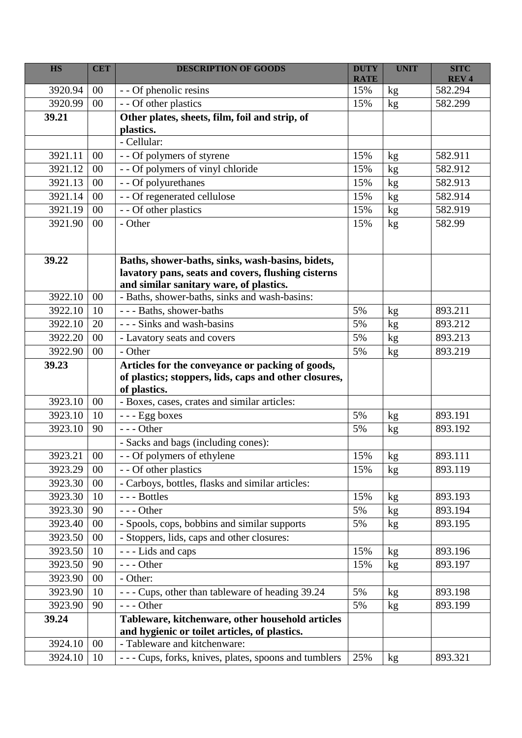| <b>HS</b> | <b>CET</b> | <b>DESCRIPTION OF GOODS</b>                                 | <b>DUTY</b> | <b>UNIT</b>     | <b>SITC</b>            |
|-----------|------------|-------------------------------------------------------------|-------------|-----------------|------------------------|
| 3920.94   | $00\,$     |                                                             | <b>RATE</b> |                 | <b>REV4</b><br>582.294 |
| 3920.99   | 00         | - - Of phenolic resins                                      | 15%         | kg              |                        |
|           |            | - - Of other plastics                                       | 15%         | kg              | 582.299                |
| 39.21     |            | Other plates, sheets, film, foil and strip, of<br>plastics. |             |                 |                        |
|           |            | - Cellular:                                                 |             |                 |                        |
| 3921.11   | 00         | - - Of polymers of styrene                                  | 15%         | kg              | 582.911                |
| 3921.12   | $00\,$     | - - Of polymers of vinyl chloride                           | 15%         | kg              | 582.912                |
| 3921.13   | 00         | - - Of polyurethanes                                        | 15%         |                 | 582.913                |
| 3921.14   | 00         | - - Of regenerated cellulose                                | 15%         | kg              | 582.914                |
| 3921.19   | 00         | - - Of other plastics                                       | 15%         | kg              | 582.919                |
| 3921.90   | 00         | - Other                                                     | 15%         | kg              | 582.99                 |
|           |            |                                                             |             | kg              |                        |
|           |            |                                                             |             |                 |                        |
| 39.22     |            | Baths, shower-baths, sinks, wash-basins, bidets,            |             |                 |                        |
|           |            | lavatory pans, seats and covers, flushing cisterns          |             |                 |                        |
|           |            | and similar sanitary ware, of plastics.                     |             |                 |                        |
| 3922.10   | $00\,$     | - Baths, shower-baths, sinks and wash-basins:               |             |                 |                        |
| 3922.10   | 10         | --- Baths, shower-baths                                     | 5%          | kg              | 893.211                |
| 3922.10   | 20         | - - - Sinks and wash-basins                                 | 5%          | kg              | 893.212                |
| 3922.20   | 00         | - Lavatory seats and covers                                 | 5%          | kg              | 893.213                |
| 3922.90   | 00         | - Other                                                     | 5%          | kg              | 893.219                |
| 39.23     |            | Articles for the conveyance or packing of goods,            |             |                 |                        |
|           |            | of plastics; stoppers, lids, caps and other closures,       |             |                 |                        |
|           |            | of plastics.                                                |             |                 |                        |
| 3923.10   | $00\,$     | - Boxes, cases, crates and similar articles:                |             |                 |                        |
| 3923.10   | 10         | --- Egg boxes                                               | 5%          | kg              | 893.191                |
| 3923.10   | 90         | $--$ Other                                                  | 5%          | kg              | 893.192                |
|           |            | - Sacks and bags (including cones):                         |             |                 |                        |
| 3923.21   | $00\,$     | Of polymers of ethylene                                     | 15%         | $\rm kg$        | 893.111                |
| 3923.29   | $00\,$     | - - Of other plastics                                       | 15%         | kg              | 893.119                |
| 3923.30   | 00         | - Carboys, bottles, flasks and similar articles:            |             |                 |                        |
| 3923.30   | 10         | --- Bottles                                                 | 15%         | kg              | 893.193                |
| 3923.30   | 90         | $--$ Other                                                  | 5%          | kg              | 893.194                |
| 3923.40   | $00\,$     | - Spools, cops, bobbins and similar supports                | 5%          | kg              | 893.195                |
| 3923.50   | $00\,$     | - Stoppers, lids, caps and other closures:                  |             |                 |                        |
| 3923.50   | 10         | --- Lids and caps                                           | 15%         | kg              | 893.196                |
| 3923.50   | 90         | $--$ Other                                                  | 15%         | kg <sub>2</sub> | 893.197                |
| 3923.90   | 00         | - Other:                                                    |             |                 |                        |
| 3923.90   | 10         | - - - Cups, other than tableware of heading 39.24           | 5%          | kg              | 893.198                |
| 3923.90   | 90         | $--$ Other                                                  | 5%          | kg              | 893.199                |
| 39.24     |            | Tableware, kitchenware, other household articles            |             |                 |                        |
|           |            | and hygienic or toilet articles, of plastics.               |             |                 |                        |
| 3924.10   | $00\,$     | - Tableware and kitchenware:                                |             |                 |                        |
| 3924.10   | 10         | - - - Cups, forks, knives, plates, spoons and tumblers      | 25%         | kg              | 893.321                |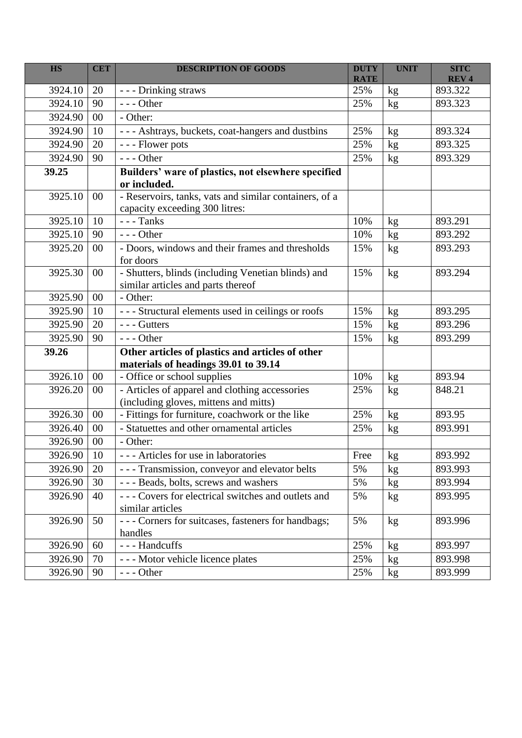| <b>HS</b> | <b>CET</b> | <b>DESCRIPTION OF GOODS</b>                                                              | <b>DUTY</b><br><b>RATE</b> | <b>UNIT</b>                      | <b>SITC</b><br><b>REV4</b> |
|-----------|------------|------------------------------------------------------------------------------------------|----------------------------|----------------------------------|----------------------------|
| 3924.10   | 20         | --- Drinking straws                                                                      | 25%                        | kg                               | 893.322                    |
| 3924.10   | 90         | $--$ Other                                                                               | 25%                        | kg                               | 893.323                    |
| 3924.90   | 00         | - Other:                                                                                 |                            |                                  |                            |
| 3924.90   | 10         | - - - Ashtrays, buckets, coat-hangers and dustbins                                       | 25%                        | kg                               | 893.324                    |
| 3924.90   | 20         | --- Flower pots                                                                          | 25%                        | kg                               | 893.325                    |
| 3924.90   | 90         | $--$ Other                                                                               | 25%                        | kg                               | 893.329                    |
| 39.25     |            | Builders' ware of plastics, not elsewhere specified<br>or included.                      |                            |                                  |                            |
| 3925.10   | 00         | - Reservoirs, tanks, vats and similar containers, of a<br>capacity exceeding 300 litres: |                            |                                  |                            |
| 3925.10   | 10         | $---$ Tanks                                                                              | 10%                        | kg                               | 893.291                    |
| 3925.10   | 90         | $--$ Other                                                                               | 10%                        | kg                               | 893.292                    |
| 3925.20   | 00         | - Doors, windows and their frames and thresholds<br>for doors                            | 15%                        | kg                               | 893.293                    |
| 3925.30   | 00         | - Shutters, blinds (including Venetian blinds) and<br>similar articles and parts thereof | 15%                        | kg                               | 893.294                    |
| 3925.90   | 00         | - Other:                                                                                 |                            |                                  |                            |
| 3925.90   | 10         | --- Structural elements used in ceilings or roofs                                        | 15%                        | kg                               | 893.295                    |
| 3925.90   | 20         | --- Gutters                                                                              | 15%                        | kg                               | 893.296                    |
| 3925.90   | 90         | $--$ Other                                                                               | 15%                        | kg                               | 893.299                    |
| 39.26     |            | Other articles of plastics and articles of other<br>materials of headings 39.01 to 39.14 |                            |                                  |                            |
| 3926.10   | 00         | - Office or school supplies                                                              | 10%                        | kg                               | 893.94                     |
| 3926.20   | 00         | - Articles of apparel and clothing accessories<br>(including gloves, mittens and mitts)  | 25%                        | kg                               | 848.21                     |
| 3926.30   | 00         | - Fittings for furniture, coachwork or the like                                          | 25%                        | kg                               | 893.95                     |
| 3926.40   | 00         | - Statuettes and other ornamental articles                                               | 25%                        | kg                               | 893.991                    |
| 3926.90   | 00         | - Other:                                                                                 |                            |                                  |                            |
| 3926.90   | 10         | --- Articles for use in laboratories                                                     | Free                       | $k\underline{\underline{\bf g}}$ | 893.992                    |
| 3926.90   | 20         | - - - Transmission, conveyor and elevator belts                                          | 5%                         | kg                               | 893.993                    |
| 3926.90   | 30         | --- Beads, bolts, screws and washers                                                     | 5%                         | kg                               | 893.994                    |
| 3926.90   | 40         | --- Covers for electrical switches and outlets and<br>similar articles                   | 5%                         | kg                               | 893.995                    |
| 3926.90   | 50         | --- Corners for suitcases, fasteners for handbags;<br>handles                            | 5%                         | kg                               | 893.996                    |
| 3926.90   | 60         | --- Handcuffs                                                                            | 25%                        | kg                               | 893.997                    |
| 3926.90   | 70         | --- Motor vehicle licence plates                                                         | 25%                        | kg                               | 893.998                    |
| 3926.90   | 90         | $--$ Other                                                                               | 25%                        | kg                               | 893.999                    |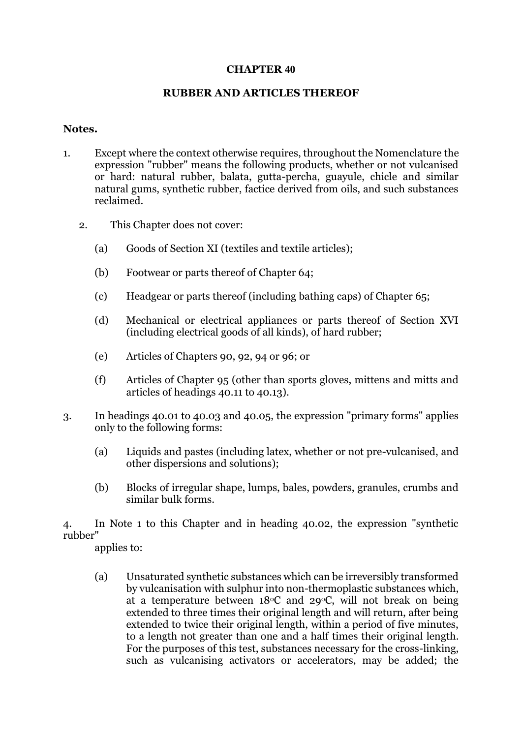### **CHAPTER 40**

### **RUBBER AND ARTICLES THEREOF**

### **Notes.**

- 1. Except where the context otherwise requires, throughout the Nomenclature the expression "rubber" means the following products, whether or not vulcanised or hard: natural rubber, balata, gutta-percha, guayule, chicle and similar natural gums, synthetic rubber, factice derived from oils, and such substances reclaimed.
	- 2. This Chapter does not cover:
		- (a) Goods of Section XI (textiles and textile articles);
		- (b) Footwear or parts thereof of Chapter 64;
		- (c) Headgear or parts thereof (including bathing caps) of Chapter 65;
		- (d) Mechanical or electrical appliances or parts thereof of Section XVI (including electrical goods of all kinds), of hard rubber;
		- (e) Articles of Chapters 90, 92, 94 or 96; or
		- (f) Articles of Chapter 95 (other than sports gloves, mittens and mitts and articles of headings 40.11 to 40.13).
- 3. In headings 40.01 to 40.03 and 40.05, the expression "primary forms" applies only to the following forms:
	- (a) Liquids and pastes (including latex, whether or not pre-vulcanised, and other dispersions and solutions);
	- (b) Blocks of irregular shape, lumps, bales, powders, granules, crumbs and similar bulk forms.

4. In Note 1 to this Chapter and in heading 40.02, the expression "synthetic rubber"

applies to:

(a) Unsaturated synthetic substances which can be irreversibly transformed by vulcanisation with sulphur into non-thermoplastic substances which, at a temperature between  $18^{\circ}$ C and  $29^{\circ}$ C, will not break on being extended to three times their original length and will return, after being extended to twice their original length, within a period of five minutes, to a length not greater than one and a half times their original length. For the purposes of this test, substances necessary for the cross-linking, such as vulcanising activators or accelerators, may be added; the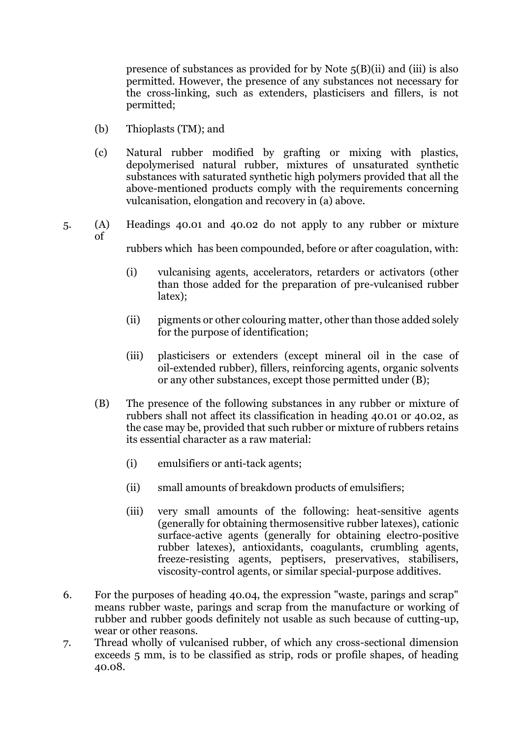presence of substances as provided for by Note 5(B)(ii) and (iii) is also permitted. However, the presence of any substances not necessary for the cross-linking, such as extenders, plasticisers and fillers, is not permitted;

- (b) Thioplasts (TM); and
- (c) Natural rubber modified by grafting or mixing with plastics, depolymerised natural rubber, mixtures of unsaturated synthetic substances with saturated synthetic high polymers provided that all the above-mentioned products comply with the requirements concerning vulcanisation, elongation and recovery in (a) above.
- 5. (A) Headings 40.01 and 40.02 do not apply to any rubber or mixture of
	- rubbers which has been compounded, before or after coagulation, with:
	- (i) vulcanising agents, accelerators, retarders or activators (other than those added for the preparation of pre-vulcanised rubber latex);
	- (ii) pigments or other colouring matter, other than those added solely for the purpose of identification;
	- (iii) plasticisers or extenders (except mineral oil in the case of oil-extended rubber), fillers, reinforcing agents, organic solvents or any other substances, except those permitted under (B);
	- (B) The presence of the following substances in any rubber or mixture of rubbers shall not affect its classification in heading 40.01 or 40.02, as the case may be, provided that such rubber or mixture of rubbers retains its essential character as a raw material:
		- (i) emulsifiers or anti-tack agents;
		- (ii) small amounts of breakdown products of emulsifiers;
		- (iii) very small amounts of the following: heat-sensitive agents (generally for obtaining thermosensitive rubber latexes), cationic surface-active agents (generally for obtaining electro-positive rubber latexes), antioxidants, coagulants, crumbling agents, freeze-resisting agents, peptisers, preservatives, stabilisers, viscosity-control agents, or similar special-purpose additives.
- 6. For the purposes of heading 40.04, the expression "waste, parings and scrap" means rubber waste, parings and scrap from the manufacture or working of rubber and rubber goods definitely not usable as such because of cutting-up, wear or other reasons.
- 7. Thread wholly of vulcanised rubber, of which any cross-sectional dimension exceeds 5 mm, is to be classified as strip, rods or profile shapes, of heading 40.08.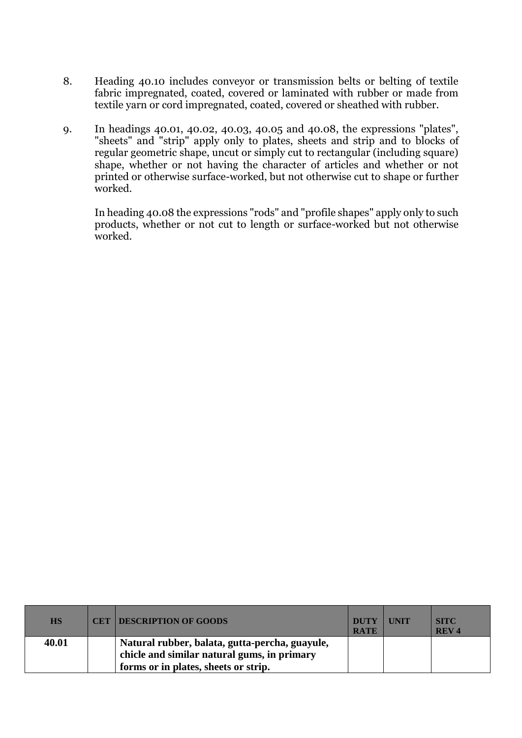- 8. Heading 40.10 includes conveyor or transmission belts or belting of textile fabric impregnated, coated, covered or laminated with rubber or made from textile yarn or cord impregnated, coated, covered or sheathed with rubber.
- 9. In headings 40.01, 40.02, 40.03, 40.05 and 40.08, the expressions "plates", "sheets" and "strip" apply only to plates, sheets and strip and to blocks of regular geometric shape, uncut or simply cut to rectangular (including square) shape, whether or not having the character of articles and whether or not printed or otherwise surface-worked, but not otherwise cut to shape or further worked.

In heading 40.08 the expressions "rods" and "profile shapes" apply only to such products, whether or not cut to length or surface-worked but not otherwise worked.

| <b>HS</b> | <b>CET DESCRIPTION OF GOODS</b>                                                               | <b>DUTY</b><br><b>RATE</b> | <b>UNIT</b> | <b>SITC</b><br><b>REV4</b> |
|-----------|-----------------------------------------------------------------------------------------------|----------------------------|-------------|----------------------------|
| 40.01     | Natural rubber, balata, gutta-percha, guayule,<br>chicle and similar natural gums, in primary |                            |             |                            |
|           | forms or in plates, sheets or strip.                                                          |                            |             |                            |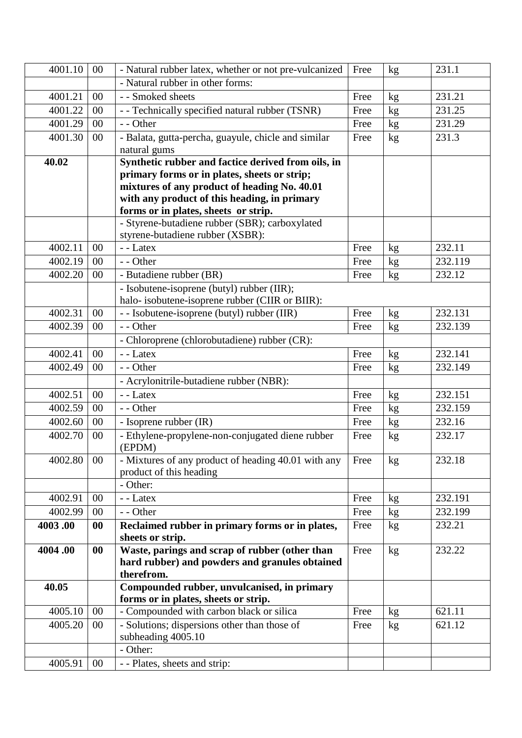| 4001.10              | 00        | - Natural rubber latex, whether or not pre-vulcanized                                          | Free | kg | 231.1   |
|----------------------|-----------|------------------------------------------------------------------------------------------------|------|----|---------|
|                      |           | - Natural rubber in other forms:                                                               |      |    |         |
| 4001.21              | 00        | - - Smoked sheets                                                                              | Free | kg | 231.21  |
| $\overline{4001.22}$ | 00        | - - Technically specified natural rubber (TSNR)                                                | Free | kg | 231.25  |
| 4001.29              | 00        | - - Other                                                                                      | Free | kg | 231.29  |
| 4001.30              | 00        | - Balata, gutta-percha, guayule, chicle and similar                                            | Free | kg | 231.3   |
|                      |           | natural gums                                                                                   |      |    |         |
| 40.02                |           | Synthetic rubber and factice derived from oils, in                                             |      |    |         |
|                      |           | primary forms or in plates, sheets or strip;                                                   |      |    |         |
|                      |           | mixtures of any product of heading No. 40.01                                                   |      |    |         |
|                      |           | with any product of this heading, in primary                                                   |      |    |         |
|                      |           | forms or in plates, sheets or strip.                                                           |      |    |         |
|                      |           | - Styrene-butadiene rubber (SBR); carboxylated                                                 |      |    |         |
| 4002.11              | 00        | styrene-butadiene rubber (XSBR):<br>- - Latex                                                  | Free |    | 232.11  |
| 4002.19              | 00        | - - Other                                                                                      |      | kg | 232.119 |
|                      |           |                                                                                                | Free | kg |         |
| 4002.20              | 00        | - Butadiene rubber (BR)                                                                        | Free | kg | 232.12  |
|                      |           | - Isobutene-isoprene (butyl) rubber (IIR);                                                     |      |    |         |
| 4002.31              | 00        | halo- isobutene-isoprene rubber (CIIR or BIIR):<br>- - Isobutene-isoprene (butyl) rubber (IIR) | Free |    | 232.131 |
|                      |           |                                                                                                |      | kg |         |
| 4002.39              | 00        | - - Other                                                                                      | Free | kg | 232.139 |
|                      |           | - Chloroprene (chlorobutadiene) rubber (CR):                                                   |      |    |         |
| 4002.41              | 00        | - - Latex                                                                                      | Free | kg | 232.141 |
| 4002.49              | 00        | - - Other                                                                                      | Free | kg | 232.149 |
|                      |           | - Acrylonitrile-butadiene rubber (NBR):                                                        |      |    |         |
| 4002.51              | 00        | - - Latex                                                                                      | Free | kg | 232.151 |
| 4002.59              | 00        | - - Other                                                                                      | Free | kg | 232.159 |
| 4002.60              | $00\,$    | - Isoprene rubber (IR)                                                                         | Free | kg | 232.16  |
| 4002.70              | 00        | - Ethylene-propylene-non-conjugated diene rubber<br>(EPDM)                                     | Free | kg | 232.17  |
| 4002.80              | $00\,$    | - Mixtures of any product of heading 40.01 with any                                            | Free | kg | 232.18  |
|                      |           | product of this heading                                                                        |      |    |         |
|                      |           | - Other:                                                                                       |      |    |         |
| 4002.91              | $00\,$    | - - Latex                                                                                      | Free | kg | 232.191 |
| 4002.99              | 00        | - - Other                                                                                      | Free | kg | 232.199 |
| 4003.00              | 00        | Reclaimed rubber in primary forms or in plates,                                                | Free | kg | 232.21  |
|                      |           | sheets or strip.                                                                               |      |    |         |
| 4004.00              | $\bf{00}$ | Waste, parings and scrap of rubber (other than                                                 | Free | kg | 232.22  |
|                      |           | hard rubber) and powders and granules obtained                                                 |      |    |         |
|                      |           | therefrom.                                                                                     |      |    |         |
| 40.05                |           | Compounded rubber, unvulcanised, in primary<br>forms or in plates, sheets or strip.            |      |    |         |
| 4005.10              | 00        | - Compounded with carbon black or silica                                                       | Free | kg | 621.11  |
| 4005.20              | $00\,$    | - Solutions; dispersions other than those of                                                   | Free | kg | 621.12  |
|                      |           | subheading 4005.10                                                                             |      |    |         |
|                      |           | - Other:                                                                                       |      |    |         |
| 4005.91              | $00\,$    | - - Plates, sheets and strip:                                                                  |      |    |         |
|                      |           |                                                                                                |      |    |         |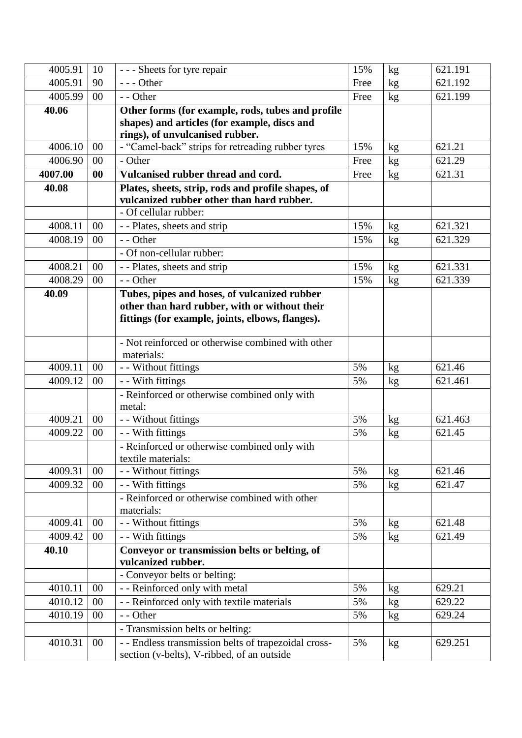| 4005.91 | 10     | --- Sheets for tyre repair                                                                        | 15%  | $\rm kg$ | 621.191 |
|---------|--------|---------------------------------------------------------------------------------------------------|------|----------|---------|
| 4005.91 | 90     | $--$ Other                                                                                        | Free | kg       | 621.192 |
| 4005.99 | 00     | - - Other                                                                                         | Free | kg       | 621.199 |
| 40.06   |        | Other forms (for example, rods, tubes and profile                                                 |      |          |         |
|         |        | shapes) and articles (for example, discs and                                                      |      |          |         |
|         |        | rings), of unvulcanised rubber.                                                                   |      |          |         |
| 4006.10 | 00     | - "Camel-back" strips for retreading rubber tyres                                                 | 15%  | kg       | 621.21  |
| 4006.90 | 00     | - Other                                                                                           | Free | kg       | 621.29  |
| 4007.00 | 00     | Vulcanised rubber thread and cord.                                                                | Free | kg       | 621.31  |
| 40.08   |        | Plates, sheets, strip, rods and profile shapes, of                                                |      |          |         |
|         |        | vulcanized rubber other than hard rubber.<br>- Of cellular rubber:                                |      |          |         |
|         |        |                                                                                                   |      |          |         |
| 4008.11 | 00     | - - Plates, sheets and strip                                                                      | 15%  | kg       | 621.321 |
| 4008.19 | 00     | - - Other                                                                                         | 15%  | kg       | 621.329 |
|         |        | - Of non-cellular rubber:                                                                         |      |          |         |
| 4008.21 | 00     | - - Plates, sheets and strip                                                                      | 15%  | kg       | 621.331 |
| 4008.29 | 00     | - - Other                                                                                         | 15%  | kg       | 621.339 |
| 40.09   |        | Tubes, pipes and hoses, of vulcanized rubber                                                      |      |          |         |
|         |        | other than hard rubber, with or without their<br>fittings (for example, joints, elbows, flanges). |      |          |         |
|         |        |                                                                                                   |      |          |         |
|         |        | - Not reinforced or otherwise combined with other                                                 |      |          |         |
|         |        | materials:                                                                                        |      |          |         |
| 4009.11 | 00     | - - Without fittings                                                                              | 5%   | kg       | 621.46  |
| 4009.12 | 00     | - With fittings                                                                                   | 5%   | kg       | 621.461 |
|         |        | - Reinforced or otherwise combined only with                                                      |      |          |         |
|         |        | metal:                                                                                            |      |          |         |
| 4009.21 | 00     | - - Without fittings                                                                              | 5%   | kg       | 621.463 |
| 4009.22 | 00     | - - With fittings                                                                                 | 5%   | kg       | 621.45  |
|         |        | - Reinforced or otherwise combined only with                                                      |      |          |         |
|         |        | textile materials:                                                                                |      |          |         |
| 4009.31 | 00     | - - Without fittings                                                                              | 5%   | kg       | 621.46  |
| 4009.32 | 00     | - - With fittings                                                                                 | 5%   | kg       | 621.47  |
|         |        | - Reinforced or otherwise combined with other                                                     |      |          |         |
| 4009.41 | $00\,$ | materials:<br>- - Without fittings                                                                | 5%   |          | 621.48  |
| 4009.42 | $00\,$ | - - With fittings                                                                                 | 5%   | kg       | 621.49  |
| 40.10   |        | Conveyor or transmission belts or belting, of                                                     |      | kg       |         |
|         |        | vulcanized rubber.                                                                                |      |          |         |
|         |        | - Conveyor belts or belting:                                                                      |      |          |         |
| 4010.11 | $00\,$ | - - Reinforced only with metal                                                                    | 5%   | kg       | 629.21  |
| 4010.12 | $00\,$ | - - Reinforced only with textile materials                                                        | 5%   | kg       | 629.22  |
| 4010.19 | $00\,$ | - - Other                                                                                         | 5%   | kg       | 629.24  |
|         |        | - Transmission belts or belting:                                                                  |      |          |         |
| 4010.31 | $00\,$ | - - Endless transmission belts of trapezoidal cross-                                              | 5%   | kg       | 629.251 |
|         |        | section (v-belts), V-ribbed, of an outside                                                        |      |          |         |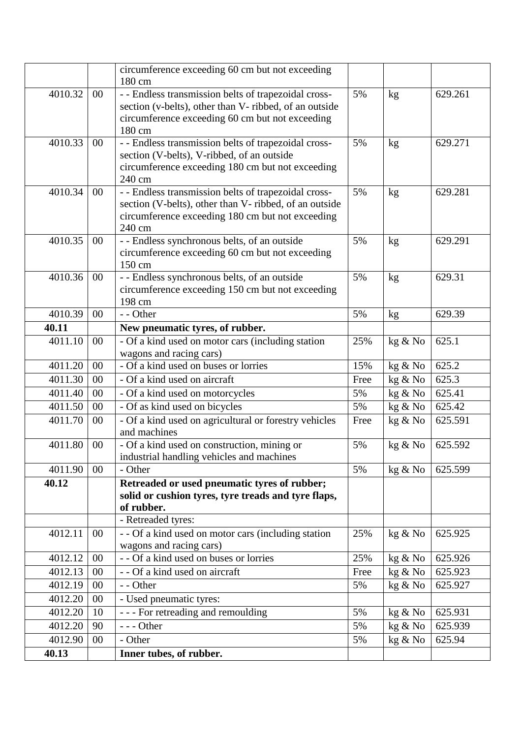|         |        | circumference exceeding 60 cm but not exceeding                                                           |      |         |         |
|---------|--------|-----------------------------------------------------------------------------------------------------------|------|---------|---------|
|         |        | 180 cm                                                                                                    |      |         |         |
| 4010.32 | $00\,$ | - - Endless transmission belts of trapezoidal cross-                                                      | 5%   | kg      | 629.261 |
|         |        | section (v-belts), other than V- ribbed, of an outside<br>circumference exceeding 60 cm but not exceeding |      |         |         |
|         |        | 180 cm                                                                                                    |      |         |         |
| 4010.33 | $00\,$ | - - Endless transmission belts of trapezoidal cross-                                                      | 5%   | kg      | 629.271 |
|         |        | section (V-belts), V-ribbed, of an outside                                                                |      |         |         |
|         |        | circumference exceeding 180 cm but not exceeding                                                          |      |         |         |
|         |        | 240 cm                                                                                                    |      |         |         |
| 4010.34 | $00\,$ | - - Endless transmission belts of trapezoidal cross-                                                      | 5%   | kg      | 629.281 |
|         |        | section (V-belts), other than V- ribbed, of an outside                                                    |      |         |         |
|         |        | circumference exceeding 180 cm but not exceeding                                                          |      |         |         |
|         |        | 240 cm                                                                                                    |      |         |         |
| 4010.35 | $00\,$ | - - Endless synchronous belts, of an outside                                                              | 5%   | kg      | 629.291 |
|         |        | circumference exceeding 60 cm but not exceeding                                                           |      |         |         |
|         |        | 150 cm                                                                                                    |      |         |         |
| 4010.36 | $00\,$ | - - Endless synchronous belts, of an outside<br>circumference exceeding 150 cm but not exceeding          | 5%   | kg      | 629.31  |
|         |        | 198 cm                                                                                                    |      |         |         |
| 4010.39 | 00     | - - Other                                                                                                 | 5%   | kg      | 629.39  |
| 40.11   |        | New pneumatic tyres, of rubber.                                                                           |      |         |         |
| 4011.10 | 00     | - Of a kind used on motor cars (including station                                                         | 25%  | kg & No | 625.1   |
|         |        | wagons and racing cars)                                                                                   |      |         |         |
| 4011.20 | 00     | - Of a kind used on buses or lorries                                                                      | 15%  | kg & No | 625.2   |
| 4011.30 | 00     | - Of a kind used on aircraft                                                                              | Free | kg & No | 625.3   |
| 4011.40 | 00     | - Of a kind used on motorcycles                                                                           | 5%   | kg & No | 625.41  |
| 4011.50 | 00     | - Of as kind used on bicycles                                                                             | 5%   | kg & No | 625.42  |
| 4011.70 | 00     | - Of a kind used on agricultural or forestry vehicles                                                     | Free | kg & No | 625.591 |
|         |        | and machines                                                                                              |      |         |         |
| 4011.80 | 00     | - Of a kind used on construction, mining or<br>industrial handling vehicles and machines                  | 5%   | kg & No | 625.592 |
| 4011.90 | $00\,$ | - Other                                                                                                   | 5%   | kg & No | 625.599 |
| 40.12   |        | Retreaded or used pneumatic tyres of rubber;                                                              |      |         |         |
|         |        | solid or cushion tyres, tyre treads and tyre flaps,                                                       |      |         |         |
|         |        | of rubber.                                                                                                |      |         |         |
|         |        | - Retreaded tyres:                                                                                        |      |         |         |
| 4012.11 | $00\,$ | $\overline{-\text{ - Of}}$ a kind used on motor cars (including station                                   | 25%  | kg & No | 625.925 |
|         |        | wagons and racing cars)                                                                                   |      |         |         |
| 4012.12 | 00     | - - Of a kind used on buses or lorries                                                                    | 25%  | kg & No | 625.926 |
| 4012.13 | $00\,$ | - - Of a kind used on aircraft                                                                            | Free | kg & No | 625.923 |
| 4012.19 | 00     | - - Other                                                                                                 | 5%   | kg & No | 625.927 |
| 4012.20 | 00     | - Used pneumatic tyres:                                                                                   |      |         |         |
| 4012.20 | 10     | - - - For retreading and remoulding                                                                       | 5%   | kg & No | 625.931 |
| 4012.20 | 90     | $--$ Other                                                                                                | 5%   | kg & No | 625.939 |
| 4012.90 | $00\,$ | - Other                                                                                                   | 5%   | kg & No | 625.94  |
| 40.13   |        | Inner tubes, of rubber.                                                                                   |      |         |         |